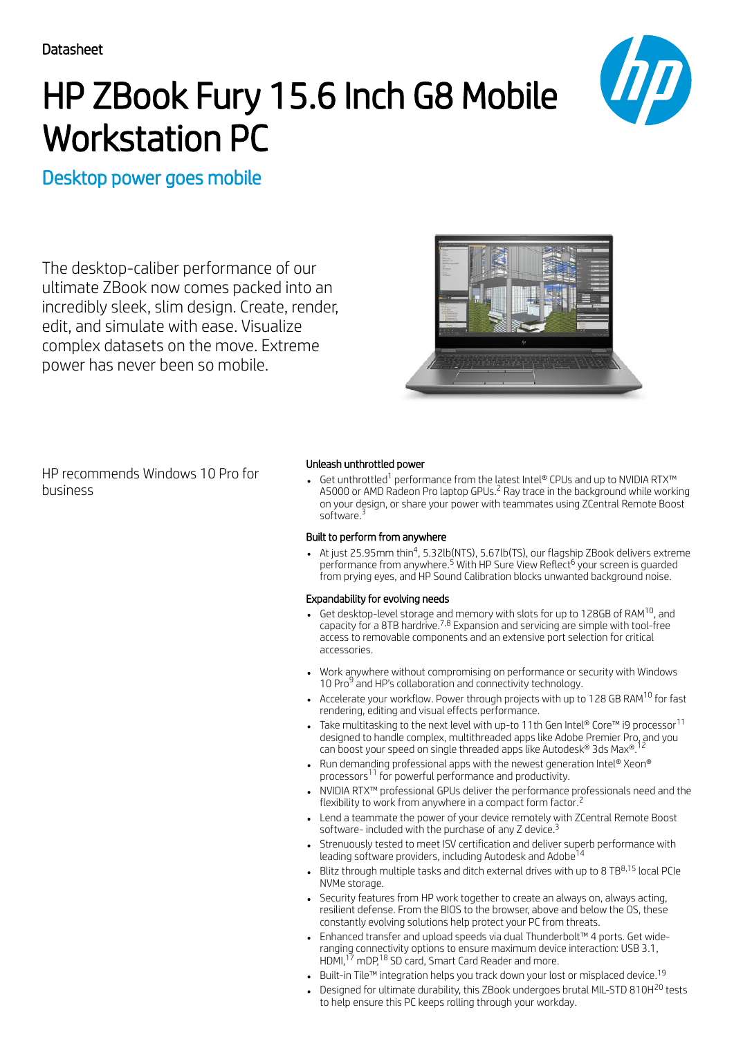# HP ZBook Fury 15.6 Inch G8 Mobile Workstation PC



# Desktop power goes mobile

The desktop-caliber performance of our ultimate ZBook now comes packed into an incredibly sleek, slim design. Create, render, edit, and simulate with ease. Visualize complex datasets on the move. Extreme power has never been so mobile.



HP recommends Windows 10 Pro for business

### Unleash unthrottled power

Get unthrottled $^1$  performance from the latest Intel® CPUs and up to NVIDIA RTX™ A5000 or AMD Radeon Pro laptop GPUs.<sup>2</sup> Ray trace in the background while working on your design, or share your power with teammates using ZCentral Remote Boost software.<sup>3</sup>

## Built to perform from anywhere

At just 25.95mm thin<sup>4</sup>, 5.32lb(NTS), 5.67lb(TS), our flagship ZBook delivers extreme performance from anywhere.<sup>5</sup> With HP Sure View Reflect<sup>6</sup> your screen is guarded from prying eyes, and HP Sound Calibration blocks unwanted background noise.

### Expandability for evolving needs

- Get desktop-level storage and memory with slots for up to 128GB of RAM<sup>10</sup>, and capacity for a 8TB hardrive.<sup>7,8</sup> Expansion and servicing are simple with tool-free access to removable components and an extensive port selection for critical accessories.
- Work anywhere without compromising on performance or security with Windows 10 Pro<sup>9</sup> and HP's collaboration and connectivity technology.
- Accelerate your workflow. Power through projects with up to 128 GB RAM $^{\rm 10}$  for fast rendering, editing and visual effects performance.
- Take multitasking to the next level with up-to 11th Gen Intel® Core™ i9 processor $^{\rm 11}$ designed to handle complex, multithreaded apps like Adobe Premier Pro, and you 12 can boost your speed on single threaded apps like Autodesk® 3ds Max®.
- Run demanding professional apps with the newest generation Intel® Xeon® processors<sup>11</sup> for powerful performance and productivity.
- NVIDIA RTX™ professional GPUs deliver the performance professionals need and the flexibility to work from anywhere in a compact form factor. 2
- Lend a teammate the power of your device remotely with ZCentral Remote Boost software- included with the purchase of any Z device.<sup>3</sup>
- Strenuously tested to meet ISV certification and deliver superb performance with leading software providers, including Autodesk and Adobe 14
- Blitz through multiple tasks and ditch external drives with up to 8 TB $^{8,15}$  local PCIe NVMe storage.
- Security features from HP work together to create an always on, always acting, resilient defense. From the BIOS to the browser, above and below the OS, these constantly evolving solutions help protect your PC from threats.
- Enhanced transfer and upload speeds via dual Thunderbolt™ 4 ports. Get wideranging connectivity options to ensure maximum device interaction: USB 3.1, HDMI,<sup>17</sup> mDP,<sup>18</sup> SD card, Smart Card Reader and more.
- Built-in Tile™ integration helps you track down your lost or misplaced device. $^{19}$
- Designed for ultimate durability, this ZBook undergoes brutal MIL-STD 810H<sup>20</sup> tests to help ensure this PC keeps rolling through your workday.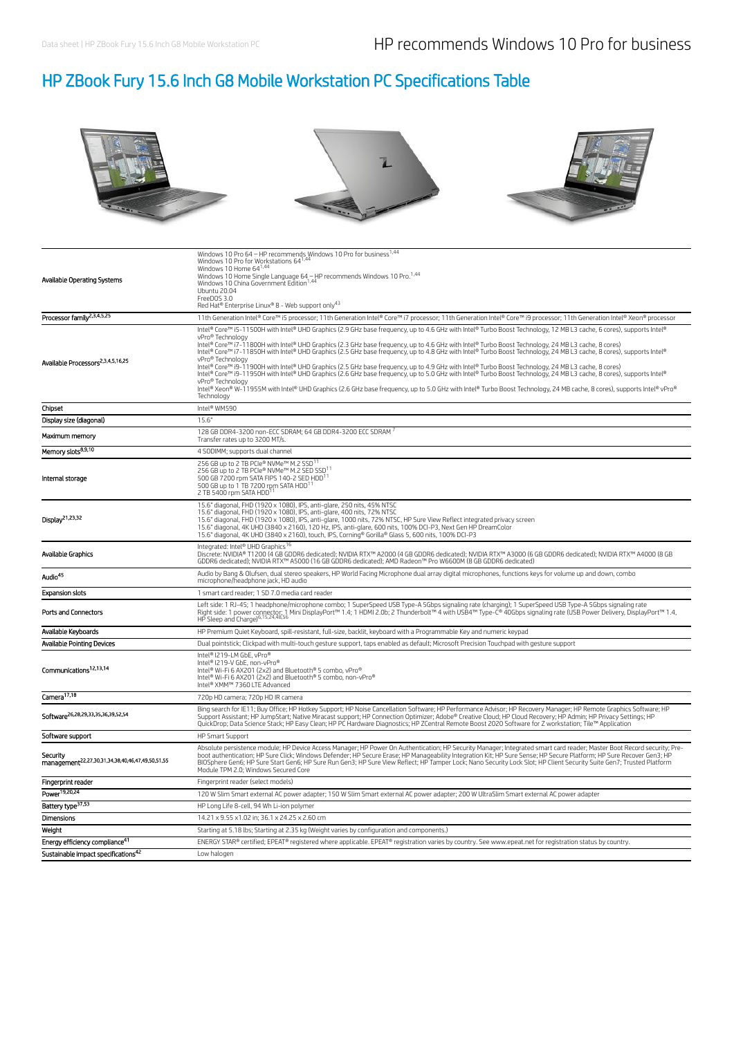# HP ZBook Fury 15.6 Inch G8 Mobile Workstation PC Specifications Table



| Available Operating Systems                                               | Windows 10 Pro 64 – HP recommends Windows 10 Pro for business <sup>1,44</sup><br>Windows 10 Pro for Workstations 64 <sup>1,44</sup><br>Windows 10 Home 64 <sup>1,44</sup><br>Windows 10 Home Single Language 64 - HP recommends Windows 10 Pro. <sup>1,44</sup><br>Windows 10 China Government Edition <sup>1,44</sup><br>Ubuntu 20.04<br>FreeDOS 3.0<br>Red Hat® Enterprise Linux® 8 - Web support only43                                                                                                                                                                                                                                                                                                                                                                                                                                                                                                                                                                                                                                                                             |
|---------------------------------------------------------------------------|----------------------------------------------------------------------------------------------------------------------------------------------------------------------------------------------------------------------------------------------------------------------------------------------------------------------------------------------------------------------------------------------------------------------------------------------------------------------------------------------------------------------------------------------------------------------------------------------------------------------------------------------------------------------------------------------------------------------------------------------------------------------------------------------------------------------------------------------------------------------------------------------------------------------------------------------------------------------------------------------------------------------------------------------------------------------------------------|
| Processor family <sup>2,3,4,5,25</sup>                                    | 11th Generation Intel® Core™ i5 processor; 11th Generation Intel® Core™ i7 processor; 11th Generation Intel® Core™ i9 processor; 11th Generation Intel® Xeon® processor                                                                                                                                                                                                                                                                                                                                                                                                                                                                                                                                                                                                                                                                                                                                                                                                                                                                                                                |
| Available Processors <sup>2,3,4,5,16,25</sup>                             | Intel® Core™ i5-11500H with Intel® UHD Graphics (2.9 GHz base frequency, up to 4.6 GHz with Intel® Turbo Boost Technology, 12 MB L3 cache, 6 cores), supports Intel®<br>vPro® Technology<br>Intel® Core™ i7-11800H with Intel® UHD Graphics (2.3 GHz base frequency, up to 4.6 GHz with Intel® Turbo Boost Technology, 24 MB L3 cache, 8 cores)<br>Intel® Core™ i7-11850H with Intel® UHD Graphics (2.5 GHz base frequency, up to 4.8 GHz with Intel® Turbo Boost Technology, 24 MB L3 cache, 8 cores), supports Intel®<br>vPro® Technology<br>Intel® Core™ i9-11900H with Intel® UHD Graphics (2.5 GHz base frequency, up to 4.9 GHz with Intel® Turbo Boost Technology, 24 MB L3 cache, 8 cores)<br>Intel® Core™ i9-11950H with Intel® UHD Graphics (2.6 GHz base frequency, up to 5.0 GHz with Intel® Turbo Boost Technology, 24 MB L3 cache, 8 cores), supports Intel®<br>vPro® Technology<br>Intel® Xeon® W-11955M with Intel® UHD Graphics (2.6 GHz base frequency, up to 5.0 GHz with Intel® Turbo Boost Technology, 24 MB cache, 8 cores), supports Intel® vPro®<br>Technology |
| Chipset                                                                   | Intel® WM590                                                                                                                                                                                                                                                                                                                                                                                                                                                                                                                                                                                                                                                                                                                                                                                                                                                                                                                                                                                                                                                                           |
| Display size (diagonal)                                                   | 15.6"                                                                                                                                                                                                                                                                                                                                                                                                                                                                                                                                                                                                                                                                                                                                                                                                                                                                                                                                                                                                                                                                                  |
| Maximum memory                                                            | 128 GB DDR4-3200 non-ECC SDRAM: 64 GB DDR4-3200 ECC SDRAM 7<br>Transfer rates up to 3200 MT/s.                                                                                                                                                                                                                                                                                                                                                                                                                                                                                                                                                                                                                                                                                                                                                                                                                                                                                                                                                                                         |
| Memory slots <sup>8,9,10</sup>                                            | 4 SODIMM; supports dual channel                                                                                                                                                                                                                                                                                                                                                                                                                                                                                                                                                                                                                                                                                                                                                                                                                                                                                                                                                                                                                                                        |
| Internal storage                                                          | 256 GB up to 2 TB PCIe® NVMe™ M.2 SSD <sup>11</sup><br>256 GB up to 2 TB PCIe® NVMe™ M.2 SED SSD <sup>11</sup><br>500 GB 7200 rpm SATA FIPS 140-2 SED HDD <sup>11</sup><br>500 GB up to 1 TB 7200 rpm SATA HDD <sup>11</sup><br>2 TB 5400 rpm SATA HDD <sup>11</sup>                                                                                                                                                                                                                                                                                                                                                                                                                                                                                                                                                                                                                                                                                                                                                                                                                   |
| Display <sup>21,23,32</sup>                                               | 15.6" diagonal, FHD (1920 x 1080), IPS, anti-glare, 250 nits, 45% NTSC<br>15.6" diagonal, FHD (1920 x 1080), IPS, anti-glare, 400 nits, 72% NTSC<br>15.6" diagonal, FHD (1920 x 1080), IPS, anti-glare, 1000 nits, 72% NTSC, HP Sure View Reflect integrated privacy screen<br>15.6" diagonal, 4K UHD (3840 x 2160), 120 Hz, IPS, anti-glare, 600 nits, 100% DCI-P3, Next Gen HP DreamColor<br>15.6" diagonal, 4K UHD (3840 x 2160), touch, IPS, Corning® Gorilla® Glass 5, 600 nits, 100% DCI-P3                                                                                                                                                                                                                                                                                                                                                                                                                                                                                                                                                                                      |
| Available Graphics                                                        | Integrated: Intel® UHD Graphics <sup>16</sup><br>Discrete: NVIDIA® T1200 (4 GB GDDR6 dedicated); NVIDIA RTX™ A2000 (4 GB GDDR6 dedicated); NVIDIA RTX™ A3000 (6 GB GDDR6 dedicated); NVIDIA RTX™ A4000 (8 GB<br>GDDR6 dedicated); NVIDIA RTX™ A5000 (16 GB GDDR6 dedicated); AMD Radeon™ Pro W6600M (8 GB GDDR6 dedicated)                                                                                                                                                                                                                                                                                                                                                                                                                                                                                                                                                                                                                                                                                                                                                             |
| Audio <sup>45</sup>                                                       | Audio by Bang & Olufsen, dual stereo speakers, HP World Facing Microphone dual array digital microphones, functions keys for volume up and down, combo<br>microphone/headphone jack, HD audio                                                                                                                                                                                                                                                                                                                                                                                                                                                                                                                                                                                                                                                                                                                                                                                                                                                                                          |
| <b>Expansion slots</b>                                                    | 1 smart card reader; 1 SD 7.0 media card reader                                                                                                                                                                                                                                                                                                                                                                                                                                                                                                                                                                                                                                                                                                                                                                                                                                                                                                                                                                                                                                        |
| Ports and Connectors                                                      | Left side: 1 RJ-45; 1 headphone/microphone combo; 1 SuperSpeed USB Type-A 5Gbps signaling rate (charging); 1 SuperSpeed USB Type-A 5Gbps signaling rate<br>Right side: 1 power connector; 1 Mini DisplayPort™ 1.4; 1 HDMI 2.0b; 2 Thunderbolt™ 4 with USB4™ Type-C® 40Gbps signaling rate (USB Power Delivery, DisplayPort™ 1.4,<br>HP Sleep and Charge) <sup>6,15,24,48,56</sup>                                                                                                                                                                                                                                                                                                                                                                                                                                                                                                                                                                                                                                                                                                      |
| Available Keyboards                                                       | HP Premium Quiet Keyboard, spill-resistant, full-size, backlit, keyboard with a Programmable Key and numeric keypad                                                                                                                                                                                                                                                                                                                                                                                                                                                                                                                                                                                                                                                                                                                                                                                                                                                                                                                                                                    |
| <b>Available Pointing Devices</b>                                         | Dual pointstick; Clickpad with multi-touch gesture support, taps enabled as default; Microsoft Precision Touchpad with gesture support                                                                                                                                                                                                                                                                                                                                                                                                                                                                                                                                                                                                                                                                                                                                                                                                                                                                                                                                                 |
| Communications <sup>12,13,14</sup>                                        | Intel® I219-LM GbE, vPro®<br>Intel® I219-V GbE, non-vPro®<br>Intel® Wi-Fi 6 AX201 (2x2) and Bluetooth® 5 combo, vPro®<br>Intel® Wi-Fi 6 AX201 (2x2) and Bluetooth® 5 combo, non-vPro®<br>Intel® XMM™ 7360 LTE Advanced                                                                                                                                                                                                                                                                                                                                                                                                                                                                                                                                                                                                                                                                                                                                                                                                                                                                 |
| Camera <sup>17,18</sup>                                                   | 720p HD camera; 720p HD IR camera                                                                                                                                                                                                                                                                                                                                                                                                                                                                                                                                                                                                                                                                                                                                                                                                                                                                                                                                                                                                                                                      |
| Software <sup>26,28,29,33,35,36,39,52,54</sup>                            | Bing search for IE11; Buy Office; HP Hotkey Support; HP Noise Cancellation Software; HP Performance Advisor; HP Recovery Manager; HP Remote Graphics Software; HP<br>Support Assistant; HP JumpStart; Native Miracast support; HP Connection Optimizer; Adobe® Creative Cloud; HP Cloud Recovery; HP Admin; HP Privacy Settings; HP<br>QuickDrop; Data Science Stack; HP Easy Clean; HP PC Hardware Diagnostics; HP ZCentral Remote Boost 2020 Software for Z workstation; Tile™ Application                                                                                                                                                                                                                                                                                                                                                                                                                                                                                                                                                                                           |
| Software support                                                          | <b>HP Smart Support</b>                                                                                                                                                                                                                                                                                                                                                                                                                                                                                                                                                                                                                                                                                                                                                                                                                                                                                                                                                                                                                                                                |
| Security<br>management <sup>22</sup> ,27,30,31,34,38,40,46,47,49,50,51,55 | Absolute persistence module; HP Device Access Manager; HP Power On Authentication; HP Security Manager; Integrated smart card reader; Master Boot Record security; Pre-<br>boot authentication; HP Sure Click; Windows Defender; HP Secure Erase; HP Manageability Integration Kit; HP Sure Sense; HP Secure Platform; HP Sure Recover Gen3; HP<br>BIOSphere Gen6; HP Sure Start Gen6; HP Sure Run Gen3; HP Sure View Reflect; HP Tamper Lock; Nano Security Lock Slot; HP Client Security Suite Gen7; Trusted Platform<br>Module TPM 2.0; Windows Secured Core                                                                                                                                                                                                                                                                                                                                                                                                                                                                                                                        |
| Fingerprint reader                                                        | Fingerprint reader (select models)                                                                                                                                                                                                                                                                                                                                                                                                                                                                                                                                                                                                                                                                                                                                                                                                                                                                                                                                                                                                                                                     |
| Power <sup>19,20,24</sup>                                                 | 120 W Slim Smart external AC power adapter; 150 W Slim Smart external AC power adapter; 200 W UltraSlim Smart external AC power adapter                                                                                                                                                                                                                                                                                                                                                                                                                                                                                                                                                                                                                                                                                                                                                                                                                                                                                                                                                |
| Battery type <sup>37,53</sup>                                             | HP Long Life 8-cell, 94 Wh Li-ion polymer                                                                                                                                                                                                                                                                                                                                                                                                                                                                                                                                                                                                                                                                                                                                                                                                                                                                                                                                                                                                                                              |
| Dimensions                                                                | 14.21 x 9.55 x1.02 in; 36.1 x 24.25 x 2.60 cm                                                                                                                                                                                                                                                                                                                                                                                                                                                                                                                                                                                                                                                                                                                                                                                                                                                                                                                                                                                                                                          |
| Weight                                                                    | Starting at 5.18 lbs; Starting at 2.35 kg (Weight varies by configuration and components.)                                                                                                                                                                                                                                                                                                                                                                                                                                                                                                                                                                                                                                                                                                                                                                                                                                                                                                                                                                                             |
| Energy efficiency compliance <sup>41</sup>                                | ENERGY STAR® certified; EPEAT® registered where applicable. EPEAT® registration varies by country. See www.epeat.net for registration status by country.                                                                                                                                                                                                                                                                                                                                                                                                                                                                                                                                                                                                                                                                                                                                                                                                                                                                                                                               |
| Sustainable impact specifications <sup>42</sup>                           | Low halogen                                                                                                                                                                                                                                                                                                                                                                                                                                                                                                                                                                                                                                                                                                                                                                                                                                                                                                                                                                                                                                                                            |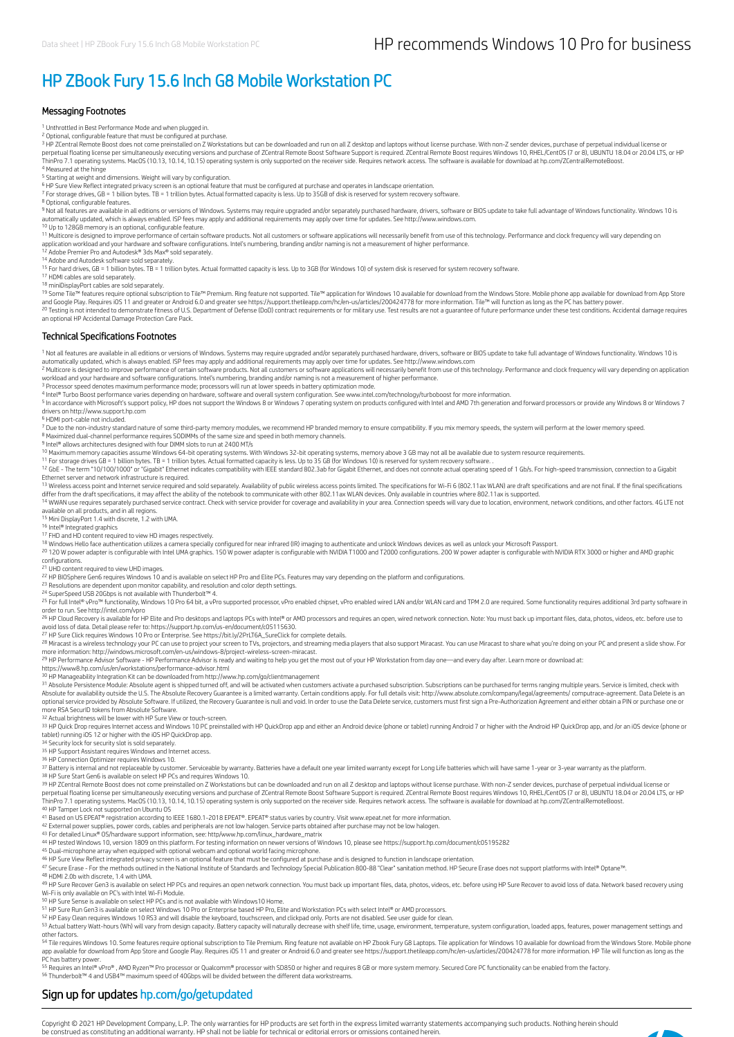# HP ZBook Fury 15.6 Inch G8 Mobile Workstation PC

#### Messaging Footnotes

<sup>1</sup> Unthrottled in Best Performance Mode and when plugged in.

<sup>2</sup> Optional, configurable feature that must be configured at purchase.

<sup>3</sup> HP ZCentral Remote Boost does not come preinstalled on Z Workstations but can be downloaded and run on all Z desktop and laptops without license purchase. With non-Z sender devices, purchase of perpetual individual lic ThinPro 7.1 operating systems. MacOS (10.13, 10.14, 10.15) operating system is only supported on the receiver side. Requires network access. The software is available for download at hp.com/ZCentralRemoteBoost. 4 Measured at the hinge

<sup>5</sup> Starting at weight and dimensions. Weight will vary by configuration.

<sup>6</sup> HP Sure View Reflect integrated privacy screen is an optional feature that must be configured at purchase and operates in landscape orientation.<br><sup>7</sup> For storage drives, GB = 1 billion bytes. TB = 1 trillion bytes. Actu

<sup>8</sup> Optional, configurable features.<br><sup>9</sup> Not all features are available in all editions or versions of Windows. Systems may require upgraded and/or separately purchased hardware, drivers, software or BIOS update to take fu automatically updated, which is always enabled. ISP fees may apply and additional requirements may apply over time for updates. See http://www.windows.com.

<sup>10</sup> Up to 128GB memory is an optional, configurable feature.<br><sup>11</sup> Multicore is designed to improve performance of certain software products. Not all customers or software applications will necessarily benefit from use of application workload and your hardware and software configurations. Intel's numbering, branding and/or naming is not a measurement of higher performance.<br><sup>12</sup> Adobe Premier Pro and Autodesk® 3ds Max® sold separately.

14 Adobe and Autodesk software sold separately.

<sup>15</sup> For hard drives, GB = 1 billion bytes. TB = 1 trillion bytes. Actual formatted capacity is less. Up to 3GB (for Windows 10) of system disk is reserved for system recovery software.<br><sup>17</sup> HDMI cables are sold separately

18 19

<sup>18</sup> miniDisplayPort cables are sold separately.<br><sup>19</sup> Some Tile™ features require optional subscription to Tile™ Premium. Ring feature not supported. Tile™ application for Windows 10 available for download from the Window 20

#### Technical Specifications Footnotes

<sup>1</sup> Not all features are available in all editions or versions of Windows. Systems may require upgraded and/or separately purchased hardware, drivers, software or BIOS update to take full advantage of Windows functionality

automatically updated, which is always enabled. ISP fees may apply and additional requirements may apply over time for updates. See http://www.windows.com<br><sup>2</sup> Multicore is designed to improve performance of certain softwar workload and your hardware and software configurations. Intel's numbering, branding and/or naming is not a measurement of higher performance.<br><sup>3</sup> Processor speed denotes maximum performance mode; processors will run at low

<sup>5</sup> In accordance with Microsoft's support policy, HP does not support the Windows 8 or Windows 7 operating system on products configured with Intel and AMD 7th generation and forward processors or provide any Windows 8 or

<sup>6</sup> HDMI port-cable not included.

<sup>7</sup> Due to the non-industry standard nature of some third-party memory modules, we recommend HP branded memory to ensure compatibility. If you mix memory speeds, the system will perform at the lower memory speed.<br><sup>8</sup> Maxim

<sup>9</sup> Intel® allows architectures designed with four DIMM slots to run at 2400 MT/s<br><sup>10</sup> Maximum memory capacities assume Windows 64-bit operating systems. With Windows 32-bit operating systems, memory above 3 GB may not all

<sup>11</sup> For storage drives GB = 1 billion bytes. TB = 1 trillion bytes. Actual formatted capacity is less. Up to 35 GB (for Windows 10) is reserved for system recovery software. .

<sup>12</sup> GbE - The term "10/100/1000" or "Gigabit" Ethernet indicates compatibility with IEEE standard 802.3ab for Gigabit Ethernet, and does not connote actual operating speed of 1 Gb/s. For high-speed transmission, connectio

<sup>13</sup> Wireless access point and Internet service required and sold separately. Availability of public wireless access points limited. The specifications for Wi-Fi 6 (802.11ax WLAN) are draft specifications and are not final

14 WWAN use requires separately purchased service contract. Check with service provider for coverage and availability in your area. Connection speeds will vary due to location, environment, network conditions, and other fa available on all products, and in all regions.<br><sup>15</sup> Mini DisplayPort 1.4 with discrete, 1.2 with UMA.

<sup>16</sup> Intel® Integrated graphics<br><sup>17</sup> FHD and HD content required to view HD images respectively.

<sup>18</sup> Windows Hello face authentication utilizes a camera specially configured for near infrared (IR) imaging to authenticate and unlock Windows devices as well as unlock your Microsoft Passport.<br><sup>20</sup> 120 W power adapter is configurations.

<sup>21</sup> UHD content required to view UHD images.<br><sup>22</sup> HP BIOSphere Gen6 requires Windows 10 and is available on select HP Pro and Elite PCs. Features may vary depending on the platform and configurations.

<sup>23</sup> Resolutions are dependent upon monitor capability, and resolution and color depth settings.

<sup>24</sup> SuperSpeed USB 20Gbps is not available with Thunderbolt™ 4.<br><sup>25</sup> For full Intel® vPro™ functionality, Windows 10 Pro 64 bit, a vPro supported processor, vPro enabled chipset, vPro enabled wired LAN and/or WLAN card an

order to run. See http://intel.com/vpro<br><sup>26</sup> HP Cloud Recovery is available for HP Elite and Pro desktops and laptops PCs with Intel® or AMD processors and requires an open, wired network connection. Note: You must back up

avoid loss of data. Detail please refer to: https://support.hp.com/us-en/document/c05115630.<br><sup>27</sup> IM Sure Click requires Windows 10 Pro or Enterprise. See https://bit.ly/2PtLT6A\_SureClick for complete details.<br><sup>28</sup> Miracas 27 28

29

https://www8.hp.com/us/en/workstations/performance-advisor.html

<sup>30</sup> HP Manageability Integration Kit can be downloaded from http://www.hp.com/go/clientmanagement<br><sup>31</sup> Absolute Persistence Module: Absolute agent is shipped turned off, and will be activated when customers activate a pur Absolute for availability outside the U.S. The Absolute Recovery Guarantee is a limited warranty. Certain conditions apply. For full details visit: http://www.absolute.com/company/legal/agreements/ computrace-agreement. Da

more RSA SecurID tokens from Absolute Software. Actual brightness will be lower with HP Sure View or touch-screen. 32

33 HP Quick Drop requires Internet access and Windows 10 PC preinstalled with HP QuickDrop app and either an Android device (phone or tablet) running Android 7 or higher with the Android HP QuickDrop app, and /or an iOS de tablet) running iOS 12 or higher with the iOS HP QuickDrop app.<br><sup>34</sup> Security lock for security slot is sold separately.

<sup>35</sup> HP Support Assistant requires Windows and Internet access.<br><sup>36</sup> HP Connection Optimizer requires Windows 10.

37 Battery is internal and not replaceable by customer. Serviceable by warranty. Batteries have a default one year limited warranty except for Long Life batteries which will have same 1-year or 3-year warranty as the platf

<sup>38</sup> HP Sure Start Gen6 is available on select HP PCs and requires Windows 10.<br><sup>39</sup> HP ZCentral Remote Boost does not come preinstalled on Z Workstations but can be downloaded and run on all Z desktop and laptops without l perpetual floating license per simultaneously executing versions and purchase of ZCentral Remote Boost Software Support is required. ZCentral Remote Boost requires Windows 10, RHEL/CentOS (7 or 8), UBUNTU 18.04 or 20.04 LT 40 HP Tamper Lock not supported on Ubuntu OS

<sup>41</sup> Based on US EPEAT® registration according to IEEE 1680.1-2018 EPEAT®. EPEAT® status varies by country. Visit www.epeat.net for more information.<br><sup>42</sup> External power supplies, power cords, cables and peripherals are no

<sup>43</sup> For detailed Linux® OS/hardware support information, see: http/www.hp.com/linux\_hardware\_matrix<br><sup>44</sup> HP tested Windows 10, version 1809 on this platform. For testing information on newer versions of Windows 10, please

45 Dual-microphone array when equipped with optional webcam and optional world facing microphone.

<sup>46</sup> HP Sure View Reflect integrated privacy screen is an optional feature that must be configured at purchase and is designed to function in landscape orientation.<br><sup>47</sup> Secure Erase - For the methods outlined in the Nati

48 49

48 HDMI 2.0b with discrete, 1.4 with UMA.<br>49 HP Sure Recover Gen3 is available on select HP PCs and requires an open network connection. You must back up important files, data, photos, videos, etc. before using HP Sure Rec

<sup>50</sup> HP Sure Sense is available on select HP PCs and is not available with Windows10 Home.<br><sup>51</sup> HP Sure Run Gen3 is available on select Windows 10 Pro or Enterprise based HP Pro, Elite and Workstation PCs with select Intel

<sup>52</sup> HP Easy Clean requires Windows 10 RS3 and will disable the keyboard, touchscreen, and clickpad only. Ports are not disabled. See user guide for clean.<br><sup>53</sup> Actual battery Watt-hours (Wh) will vary from design capacity other factors.

<sup>54</sup> Tile requires Windows 10. Some features require optional subscription to Tile Premium. Ring feature not available on HP Zbook Fury G8 Laptops. Tile application for Windows 10 available for download from the Windows St PC has battery power

55 Requires an Intel® vPro®, AMD Ryzen™ Pro processor or Qualcomm® processor with SD850 or higher and requires 8 GB or more system memory. Secured Core PC functionality can be enabled from the factory. Thunderbolt™ 4 and USB4™ maximum speed of 40Gbps will be divided between the different data workstreams. 56

### Sign up for updates hp.com/go/getupdated

Copyright © 2021 HP Development Company, L.P. The only warranties for HP products are set forth in the express limited warranty statements accompanying such products. Nothing herein should<br>be construed as constituting an a